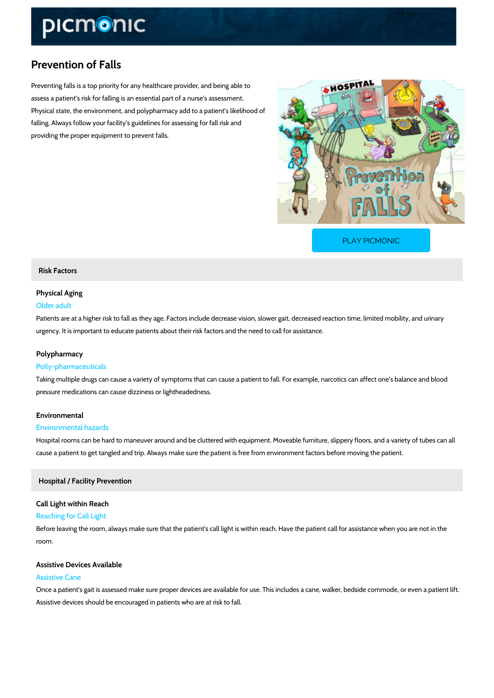# Prevention of Falls

Preventing falls is a top priority for any healthcare provider, and being able to assess a patient s risk for falling is an essential part of a nurse s assessment. Physical state, the environment, and polypharmacy add to a patient s likelihood of falling. Always follow your facility s guidelines for assessing for fall risk and providing the proper equipment to prevent falls.

[PLAY PICMONIC](https://www.picmonic.com/learn/prevention-of-falls_1574?utm_source=downloadable_content&utm_medium=distributedcontent&utm_campaign=pathways_pdf&utm_content=Prevention of Falls&utm_ad_group=leads&utm_market=all)

## Risk Factors

# Physical Aging

#### Older adult

Patients are at a higher risk to fall as they age. Factors include decrease vision, slower gait, urgency. It is important to educate patients about their risk factors and the need to call for a

## Polypharmacy

#### Polly-pharmaceuticals

Taking multiple drugs can cause a variety of symptoms that can cause a patient to fall. For example, narcotics pressure medications can cause dizziness or lightheadedness.

# Environmental

#### Environmental hazards

Hospital rooms can be hard to maneuver around and be cluttered with equipment. Moveable fu cause a patient to get tangled and trip. Always make sure the patient is free from environmen

#### Hospital / Facility Prevention

# Call Light within Reach

## Reaching for Call Light

Before leaving the room, always make sure that the patient's call light is within reach. Have t room.

# Assistive Devices Available Assistive Cane

Once a patient s gait is assessed make sure proper devices are available for use. This includ Assistive devices should be encouraged in patients who are at risk to fall.